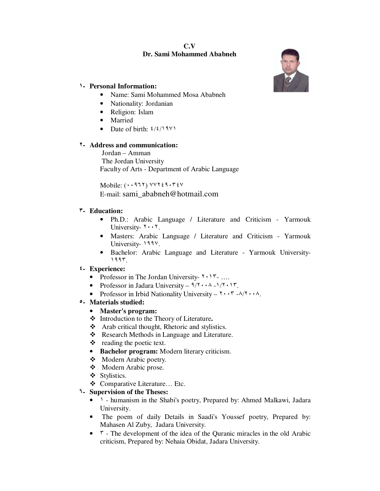### **C.V Dr. Sami Mohammed Ababneh**



#### ١**- Personal Information:**

- Name: Sami Mohammed Mosa Ababneh
- Nationality: Jordanian
- Religion: Islam
- Married
- Date of birth:  $\frac{\frac{1}{2}}{\frac{1}{2}}$

### ٢**- Address and communication:**

 Jordan – Amman The Jordan University Faculty of Arts - Department of Arabic Language

Mobile: (٠٠٩٦٢) ٧٧٢٤٩٠٣٤٧ E-mail: sami\_ababneh@hotmail.com

### ٣**- Education:**

- Ph.D.: Arabic Language / Literature and Criticism Yarmouk University-  $\cdots$ .
- Masters: Arabic Language / Literature and Criticism Yarmouk University- 1997.
- Bachelor: Arabic Language and Literature Yarmouk University-١٩٩٣.

#### ٤**- Experience:**

- Professor in The Jordan University-  $\gamma \cdot \gamma$ ...
- Professor in Jadara University  $9/7 \cdot \cdot \cdot \cdot 7$ .
- Professor in Irbid Nationality University  $\mathbf{r} \cdot \mathbf{r}$  - $\lambda / \mathbf{r} \cdot \lambda$ .

# ٥**- Materials studied:**

- **Master's program:**
- Introduction to the Theory of Literature**.**
- Arab critical thought, Rhetoric and stylistics.
- \* Research Methods in Language and Literature.
- $\triangleleft$  reading the poetic text.
- **Bachelor program:** Modern literary criticism.
- Modern Arabic poetry.
- Modern Arabic prose.
- Stylistics.
- Comparative Literature… Etc.

# ٦**- Supervision of the Theses:**

- 1 humanism in the Shabi's poetry, Prepared by: Ahmed Malkawi, Jadara University.
- The poem of daily Details in Saadi's Youssef poetry, Prepared by: Mahasen Al Zuby, Jadara University.
- $\tau$  The development of the idea of the Quranic miracles in the old Arabic criticism, Prepared by: Nehaia Obidat, Jadara University.